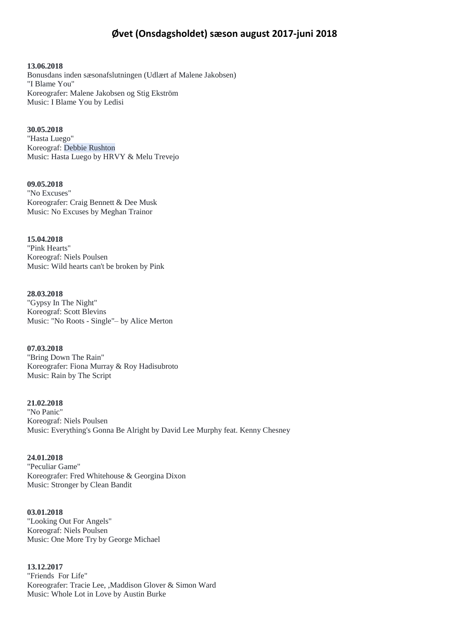# **Øvet (Onsdagsholdet) sæson august 2017-juni 2018**

**13.06.2018** Bonusdans inden sæsonafslutningen (Udlært af Malene Jakobsen) "I Blame You" Koreografer: Malene Jakobsen og Stig Ekström Music: I Blame You by Ledisi

#### **30.05.2018**

"Hasta Luego" Koreograf: Debbie Rushton Music: Hasta Luego by HRVY & Melu Trevejo

**09.05.2018** "No Excuses" Koreografer: Craig Bennett & Dee Musk Music: No Excuses by Meghan Trainor

**15.04.2018** "Pink Hearts" Koreograf: Niels Poulsen Music: Wild hearts can't be broken by Pink

**28.03.2018** "Gypsy In The Night" Koreograf: Scott Blevins Music: "No Roots - Single"– by Alice Merton

**07.03.2018** "Bring Down The Rain" Koreografer: Fiona Murray & Roy Hadisubroto Music: Rain by The Script

**21.02.2018** "No Panic" Koreograf: Niels Poulsen Music: Everything's Gonna Be Alright by David Lee Murphy feat. Kenny Chesney

**24.01.2018** "Peculiar Game" Koreografer: Fred Whitehouse & Georgina Dixon Music: Stronger by Clean Bandit

**03.01.2018** "Looking Out For Angels" Koreograf: Niels Poulsen Music: One More Try by George Michael

**13.12.2017** "Friends For Life" Koreografer: Tracie Lee, ,Maddison Glover & Simon Ward Music: Whole Lot in Love by Austin Burke